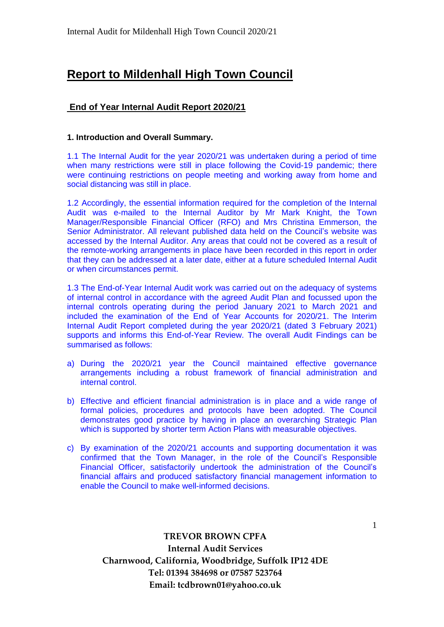# **Report to Mildenhall High Town Council**

# **End of Year Internal Audit Report 2020/21**

# **1. Introduction and Overall Summary.**

1.1 The Internal Audit for the year 2020/21 was undertaken during a period of time when many restrictions were still in place following the Covid-19 pandemic; there were continuing restrictions on people meeting and working away from home and social distancing was still in place.

1.2 Accordingly, the essential information required for the completion of the Internal Audit was e-mailed to the Internal Auditor by Mr Mark Knight, the Town Manager/Responsible Financial Officer (RFO) and Mrs Christina Emmerson, the Senior Administrator. All relevant published data held on the Council's website was accessed by the Internal Auditor. Any areas that could not be covered as a result of the remote-working arrangements in place have been recorded in this report in order that they can be addressed at a later date, either at a future scheduled Internal Audit or when circumstances permit.

1.3 The End-of-Year Internal Audit work was carried out on the adequacy of systems of internal control in accordance with the agreed Audit Plan and focussed upon the internal controls operating during the period January 2021 to March 2021 and included the examination of the End of Year Accounts for 2020/21. The Interim Internal Audit Report completed during the year 2020/21 (dated 3 February 2021) supports and informs this End-of-Year Review. The overall Audit Findings can be summarised as follows:

- a) During the 2020/21 year the Council maintained effective governance arrangements including a robust framework of financial administration and internal control.
- b) Effective and efficient financial administration is in place and a wide range of formal policies, procedures and protocols have been adopted. The Council demonstrates good practice by having in place an overarching Strategic Plan which is supported by shorter term Action Plans with measurable objectives.
- c) By examination of the 2020/21 accounts and supporting documentation it was confirmed that the Town Manager, in the role of the Council's Responsible Financial Officer, satisfactorily undertook the administration of the Council's financial affairs and produced satisfactory financial management information to enable the Council to make well-informed decisions.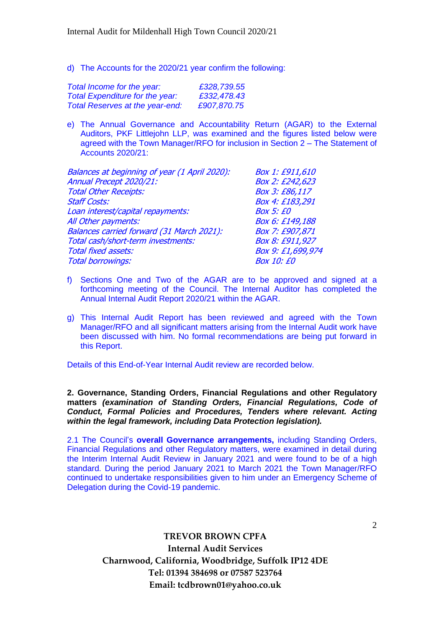d) The Accounts for the 2020/21 year confirm the following:

| Total Income for the year:             | £328,739.55 |
|----------------------------------------|-------------|
| Total Expenditure for the year:        | £332,478.43 |
| <b>Total Reserves at the year-end:</b> | £907.870.75 |

e) The Annual Governance and Accountability Return (AGAR) to the External Auditors, PKF Littlejohn LLP, was examined and the figures listed below were agreed with the Town Manager/RFO for inclusion in Section 2 – The Statement of Accounts 2020/21:

| Box 1: £911,610   |
|-------------------|
| Box 2: £242,623   |
| Box 3: £86,117    |
| Box 4: £183,291   |
| <b>Box 5: £0</b>  |
| Box 6: £149,188   |
| Box 7: £907,871   |
| Box 8: £911,927   |
| Box 9: £1,699,974 |
| <b>Box 10: £0</b> |
|                   |

- f) Sections One and Two of the AGAR are to be approved and signed at a forthcoming meeting of the Council. The Internal Auditor has completed the Annual Internal Audit Report 2020/21 within the AGAR.
- g) This Internal Audit Report has been reviewed and agreed with the Town Manager/RFO and all significant matters arising from the Internal Audit work have been discussed with him. No formal recommendations are being put forward in this Report.

Details of this End-of-Year Internal Audit review are recorded below.

**2. Governance, Standing Orders, Financial Regulations and other Regulatory matters** *(examination of Standing Orders, Financial Regulations, Code of Conduct, Formal Policies and Procedures, Tenders where relevant. Acting within the legal framework, including Data Protection legislation).*

2.1 The Council's **overall Governance arrangements,** including Standing Orders, Financial Regulations and other Regulatory matters, were examined in detail during the Interim Internal Audit Review in January 2021 and were found to be of a high standard. During the period January 2021 to March 2021 the Town Manager/RFO continued to undertake responsibilities given to him under an Emergency Scheme of Delegation during the Covid-19 pandemic.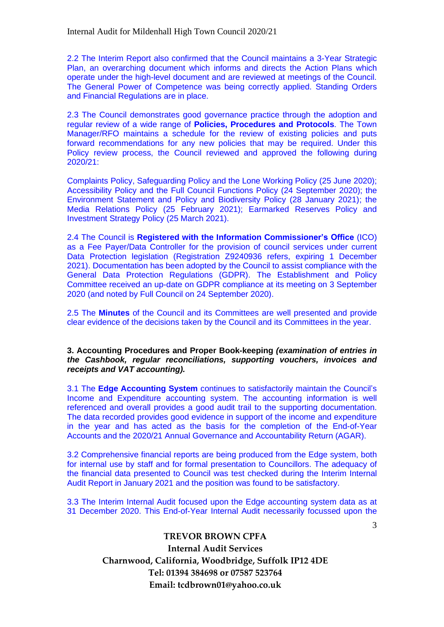2.2 The Interim Report also confirmed that the Council maintains a 3-Year Strategic Plan, an overarching document which informs and directs the Action Plans which operate under the high-level document and are reviewed at meetings of the Council. The General Power of Competence was being correctly applied. Standing Orders and Financial Regulations are in place.

2.3 The Council demonstrates good governance practice through the adoption and regular review of a wide range of **Policies, Procedures and Protocols**. The Town Manager/RFO maintains a schedule for the review of existing policies and puts forward recommendations for any new policies that may be required. Under this Policy review process, the Council reviewed and approved the following during 2020/21:

Complaints Policy, Safeguarding Policy and the Lone Working Policy (25 June 2020); Accessibility Policy and the Full Council Functions Policy (24 September 2020); the Environment Statement and Policy and Biodiversity Policy (28 January 2021); the Media Relations Policy (25 February 2021); Earmarked Reserves Policy and Investment Strategy Policy (25 March 2021).

2.4 The Council is **Registered with the Information Commissioner's Office** (ICO) as a Fee Payer/Data Controller for the provision of council services under current Data Protection legislation (Registration Z9240936 refers, expiring 1 December 2021). Documentation has been adopted by the Council to assist compliance with the General Data Protection Regulations (GDPR). The Establishment and Policy Committee received an up-date on GDPR compliance at its meeting on 3 September 2020 (and noted by Full Council on 24 September 2020).

2.5 The **Minutes** of the Council and its Committees are well presented and provide clear evidence of the decisions taken by the Council and its Committees in the year.

#### **3. Accounting Procedures and Proper Book-keeping** *(examination of entries in the Cashbook, regular reconciliations, supporting vouchers, invoices and receipts and VAT accounting).*

3.1 The **Edge Accounting System** continues to satisfactorily maintain the Council's Income and Expenditure accounting system. The accounting information is well referenced and overall provides a good audit trail to the supporting documentation. The data recorded provides good evidence in support of the income and expenditure in the year and has acted as the basis for the completion of the End-of-Year Accounts and the 2020/21 Annual Governance and Accountability Return (AGAR).

3.2 Comprehensive financial reports are being produced from the Edge system, both for internal use by staff and for formal presentation to Councillors. The adequacy of the financial data presented to Council was test checked during the Interim Internal Audit Report in January 2021 and the position was found to be satisfactory.

3.3 The Interim Internal Audit focused upon the Edge accounting system data as at 31 December 2020. This End-of-Year Internal Audit necessarily focussed upon the

3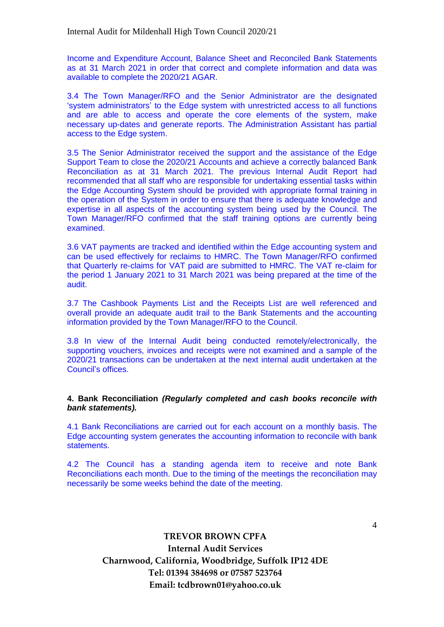Income and Expenditure Account, Balance Sheet and Reconciled Bank Statements as at 31 March 2021 in order that correct and complete information and data was available to complete the 2020/21 AGAR.

3.4 The Town Manager/RFO and the Senior Administrator are the designated 'system administrators' to the Edge system with unrestricted access to all functions and are able to access and operate the core elements of the system, make necessary up-dates and generate reports. The Administration Assistant has partial access to the Edge system.

3.5 The Senior Administrator received the support and the assistance of the Edge Support Team to close the 2020/21 Accounts and achieve a correctly balanced Bank Reconciliation as at 31 March 2021. The previous Internal Audit Report had recommended that all staff who are responsible for undertaking essential tasks within the Edge Accounting System should be provided with appropriate formal training in the operation of the System in order to ensure that there is adequate knowledge and expertise in all aspects of the accounting system being used by the Council. The Town Manager/RFO confirmed that the staff training options are currently being examined.

3.6 VAT payments are tracked and identified within the Edge accounting system and can be used effectively for reclaims to HMRC. The Town Manager/RFO confirmed that Quarterly re-claims for VAT paid are submitted to HMRC. The VAT re-claim for the period 1 January 2021 to 31 March 2021 was being prepared at the time of the audit.

3.7 The Cashbook Payments List and the Receipts List are well referenced and overall provide an adequate audit trail to the Bank Statements and the accounting information provided by the Town Manager/RFO to the Council.

3.8 In view of the Internal Audit being conducted remotely/electronically, the supporting vouchers, invoices and receipts were not examined and a sample of the 2020/21 transactions can be undertaken at the next internal audit undertaken at the Council's offices.

#### **4. Bank Reconciliation** *(Regularly completed and cash books reconcile with bank statements).*

4.1 Bank Reconciliations are carried out for each account on a monthly basis. The Edge accounting system generates the accounting information to reconcile with bank statements.

4.2 The Council has a standing agenda item to receive and note Bank Reconciliations each month. Due to the timing of the meetings the reconciliation may necessarily be some weeks behind the date of the meeting.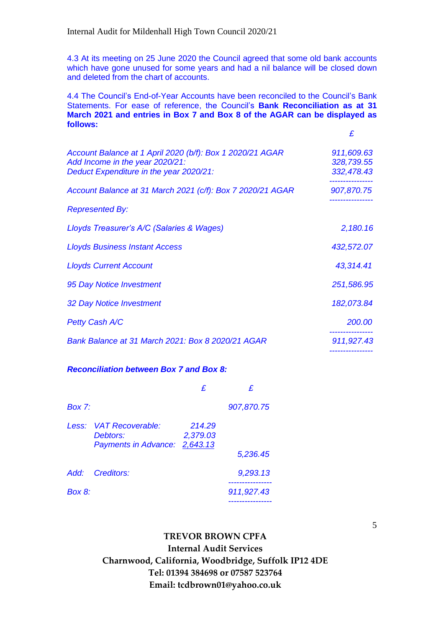4.3 At its meeting on 25 June 2020 the Council agreed that some old bank accounts which have gone unused for some years and had a nil balance will be closed down and deleted from the chart of accounts.

4.4 The Council's End-of-Year Accounts have been reconciled to the Council's Bank Statements. For ease of reference, the Council's **Bank Reconciliation as at 31 March 2021 and entries in Box 7 and Box 8 of the AGAR can be displayed as follows:**

| Account Balance at 1 April 2020 (b/f): Box 1 2020/21 AGAR<br>Add Income in the year 2020/21:<br>Deduct Expenditure in the year 2020/21: | 911,609.63<br>328,739.55<br>332,478.43 |
|-----------------------------------------------------------------------------------------------------------------------------------------|----------------------------------------|
| Account Balance at 31 March 2021 (c/f): Box 7 2020/21 AGAR                                                                              | 907,870.75                             |
| <b>Represented By:</b>                                                                                                                  |                                        |
| Lloyds Treasurer's A/C (Salaries & Wages)                                                                                               | 2,180.16                               |
| <b>Lloyds Business Instant Access</b>                                                                                                   | 432,572.07                             |
| <b>Lloyds Current Account</b>                                                                                                           | 43,314.41                              |
| 95 Day Notice Investment                                                                                                                | 251,586.95                             |
| 32 Day Notice Investment                                                                                                                | 182,073.84                             |
| <b>Petty Cash A/C</b>                                                                                                                   | 200.00                                 |
| Bank Balance at 31 March 2021: Box 8 2020/21 AGAR                                                                                       | 911,927.43                             |

#### *Reconciliation between Box 7 and Box 8:*

| $Box 7$ : |                                                                     |                    | 907,870.75 |
|-----------|---------------------------------------------------------------------|--------------------|------------|
|           | Less: VAT Recoverable:<br>Debtors:<br>Payments in Advance: 2,643.13 | 214.29<br>2,379.03 | 5,236.45   |
| Add:      | Creditors:                                                          |                    | 9,293.13   |
| Box 8:    |                                                                     |                    | 911,927.43 |
|           |                                                                     |                    |            |

**TREVOR BROWN CPFA**

**Internal Audit Services Charnwood, California, Woodbridge, Suffolk IP12 4DE Tel: 01394 384698 or 07587 523764 Email: tcdbrown01@yahoo.co.uk**

5

 *£*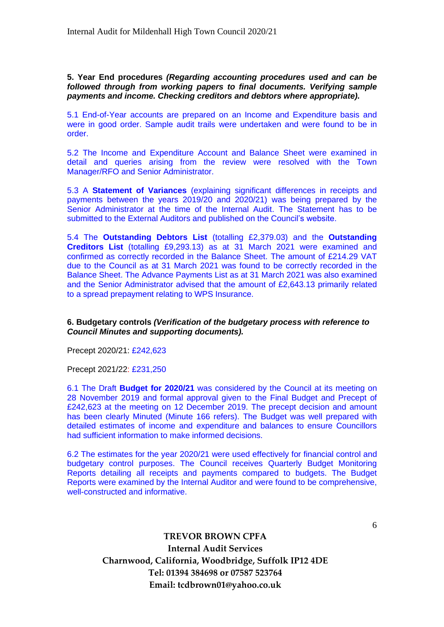**5. Year End procedures** *(Regarding accounting procedures used and can be followed through from working papers to final documents. Verifying sample payments and income. Checking creditors and debtors where appropriate).*

5.1 End-of-Year accounts are prepared on an Income and Expenditure basis and were in good order. Sample audit trails were undertaken and were found to be in order.

5.2 The Income and Expenditure Account and Balance Sheet were examined in detail and queries arising from the review were resolved with the Town Manager/RFO and Senior Administrator.

5.3 A **Statement of Variances** (explaining significant differences in receipts and payments between the years 2019/20 and 2020/21) was being prepared by the Senior Administrator at the time of the Internal Audit. The Statement has to be submitted to the External Auditors and published on the Council's website.

5.4 The **Outstanding Debtors List** (totalling £2,379.03) and the **Outstanding Creditors List** (totalling £9,293.13) as at 31 March 2021 were examined and confirmed as correctly recorded in the Balance Sheet. The amount of £214.29 VAT due to the Council as at 31 March 2021 was found to be correctly recorded in the Balance Sheet. The Advance Payments List as at 31 March 2021 was also examined and the Senior Administrator advised that the amount of £2,643.13 primarily related to a spread prepayment relating to WPS Insurance.

## **6. Budgetary controls** *(Verification of the budgetary process with reference to Council Minutes and supporting documents).*

Precept 2020/21: £242,623

Precept 2021/22: £231,250

6.1 The Draft **Budget for 2020/21** was considered by the Council at its meeting on 28 November 2019 and formal approval given to the Final Budget and Precept of £242,623 at the meeting on 12 December 2019. The precept decision and amount has been clearly Minuted (Minute 166 refers). The Budget was well prepared with detailed estimates of income and expenditure and balances to ensure Councillors had sufficient information to make informed decisions.

6.2 The estimates for the year 2020/21 were used effectively for financial control and budgetary control purposes. The Council receives Quarterly Budget Monitoring Reports detailing all receipts and payments compared to budgets. The Budget Reports were examined by the Internal Auditor and were found to be comprehensive, well-constructed and informative.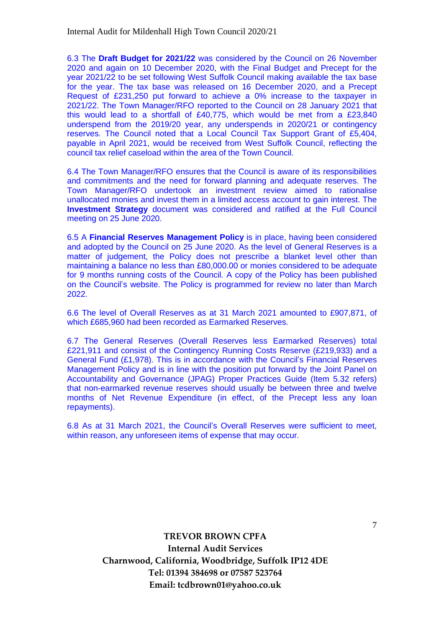6.3 The **Draft Budget for 2021/22** was considered by the Council on 26 November 2020 and again on 10 December 2020, with the Final Budget and Precept for the year 2021/22 to be set following West Suffolk Council making available the tax base for the year. The tax base was released on 16 December 2020, and a Precept Request of £231,250 put forward to achieve a 0% increase to the taxpayer in 2021/22. The Town Manager/RFO reported to the Council on 28 January 2021 that this would lead to a shortfall of £40,775, which would be met from a £23,840 underspend from the 2019/20 year, any underspends in 2020/21 or contingency reserves. The Council noted that a Local Council Tax Support Grant of £5,404, payable in April 2021, would be received from West Suffolk Council, reflecting the council tax relief caseload within the area of the Town Council.

6.4 The Town Manager/RFO ensures that the Council is aware of its responsibilities and commitments and the need for forward planning and adequate reserves. The Town Manager/RFO undertook an investment review aimed to rationalise unallocated monies and invest them in a limited access account to gain interest. The **Investment Strategy** document was considered and ratified at the Full Council meeting on 25 June 2020.

6.5 A **Financial Reserves Management Policy** is in place, having been considered and adopted by the Council on 25 June 2020. As the level of General Reserves is a matter of judgement, the Policy does not prescribe a blanket level other than maintaining a balance no less than £80,000.00 or monies considered to be adequate for 9 months running costs of the Council. A copy of the Policy has been published on the Council's website. The Policy is programmed for review no later than March 2022.

6.6 The level of Overall Reserves as at 31 March 2021 amounted to £907,871, of which £685,960 had been recorded as Earmarked Reserves.

6.7 The General Reserves (Overall Reserves less Earmarked Reserves) total £221,911 and consist of the Contingency Running Costs Reserve (£219,933) and a General Fund (£1,978). This is in accordance with the Council's Financial Reserves Management Policy and is in line with the position put forward by the Joint Panel on Accountability and Governance (JPAG) Proper Practices Guide (Item 5.32 refers) that non-earmarked revenue reserves should usually be between three and twelve months of Net Revenue Expenditure (in effect, of the Precept less any loan repayments).

6.8 As at 31 March 2021, the Council's Overall Reserves were sufficient to meet, within reason, any unforeseen items of expense that may occur.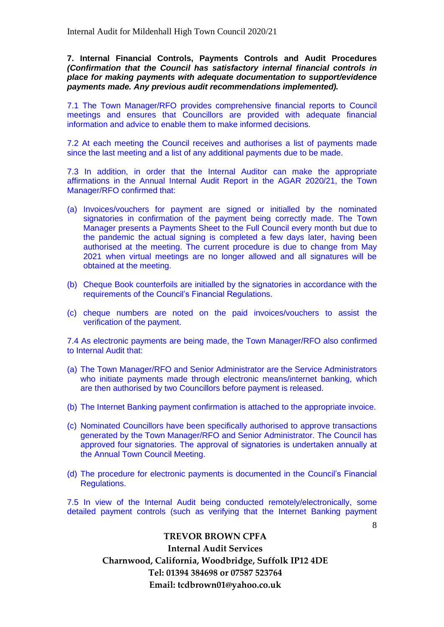**7. Internal Financial Controls, Payments Controls and Audit Procedures**  *(Confirmation that the Council has satisfactory internal financial controls in place for making payments with adequate documentation to support/evidence payments made. Any previous audit recommendations implemented).*

7.1 The Town Manager/RFO provides comprehensive financial reports to Council meetings and ensures that Councillors are provided with adequate financial information and advice to enable them to make informed decisions.

7.2 At each meeting the Council receives and authorises a list of payments made since the last meeting and a list of any additional payments due to be made.

7.3 In addition, in order that the Internal Auditor can make the appropriate affirmations in the Annual Internal Audit Report in the AGAR 2020/21, the Town Manager/RFO confirmed that:

- (a) Invoices/vouchers for payment are signed or initialled by the nominated signatories in confirmation of the payment being correctly made. The Town Manager presents a Payments Sheet to the Full Council every month but due to the pandemic the actual signing is completed a few days later, having been authorised at the meeting. The current procedure is due to change from May 2021 when virtual meetings are no longer allowed and all signatures will be obtained at the meeting.
- (b) Cheque Book counterfoils are initialled by the signatories in accordance with the requirements of the Council's Financial Regulations.
- (c) cheque numbers are noted on the paid invoices/vouchers to assist the verification of the payment.

7.4 As electronic payments are being made, the Town Manager/RFO also confirmed to Internal Audit that:

- (a) The Town Manager/RFO and Senior Administrator are the Service Administrators who initiate payments made through electronic means/internet banking, which are then authorised by two Councillors before payment is released.
- (b) The Internet Banking payment confirmation is attached to the appropriate invoice.
- (c) Nominated Councillors have been specifically authorised to approve transactions generated by the Town Manager/RFO and Senior Administrator. The Council has approved four signatories. The approval of signatories is undertaken annually at the Annual Town Council Meeting.
- (d) The procedure for electronic payments is documented in the Council's Financial Regulations.

7.5 In view of the Internal Audit being conducted remotely/electronically, some detailed payment controls (such as verifying that the Internet Banking payment

8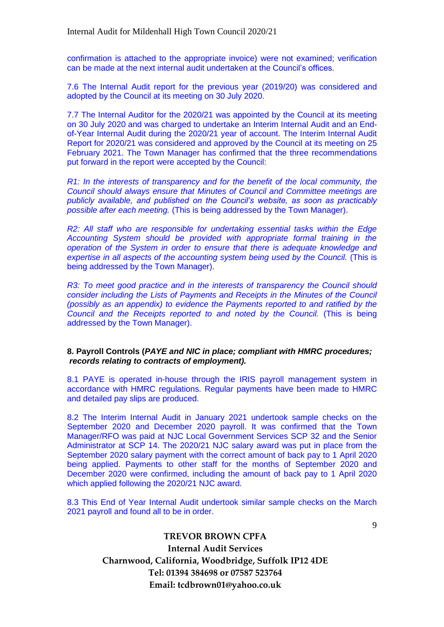confirmation is attached to the appropriate invoice) were not examined; verification can be made at the next internal audit undertaken at the Council's offices.

7.6 The Internal Audit report for the previous year (2019/20) was considered and adopted by the Council at its meeting on 30 July 2020.

7.7 The Internal Auditor for the 2020/21 was appointed by the Council at its meeting on 30 July 2020 and was charged to undertake an Interim Internal Audit and an Endof-Year Internal Audit during the 2020/21 year of account. The Interim Internal Audit Report for 2020/21 was considered and approved by the Council at its meeting on 25 February 2021. The Town Manager has confirmed that the three recommendations put forward in the report were accepted by the Council:

*R1: In the interests of transparency and for the benefit of the local community, the Council should always ensure that Minutes of Council and Committee meetings are publicly available, and published on the Council's website, as soon as practicably possible after each meeting.* (This is being addressed by the Town Manager).

*R2: All staff who are responsible for undertaking essential tasks within the Edge Accounting System should be provided with appropriate formal training in the operation of the System in order to ensure that there is adequate knowledge and expertise in all aspects of the accounting system being used by the Council.* (This is being addressed by the Town Manager).

*R3: To meet good practice and in the interests of transparency the Council should consider including the Lists of Payments and Receipts in the Minutes of the Council (possibly as an appendix) to evidence the Payments reported to and ratified by the Council and the Receipts reported to and noted by the Council.* (This is being addressed by the Town Manager).

#### **8. Payroll Controls (***PAYE and NIC in place; compliant with HMRC procedures; records relating to contracts of employment).*

8.1 PAYE is operated in-house through the IRIS payroll management system in accordance with HMRC regulations. Regular payments have been made to HMRC and detailed pay slips are produced.

8.2 The Interim Internal Audit in January 2021 undertook sample checks on the September 2020 and December 2020 payroll. It was confirmed that the Town Manager/RFO was paid at NJC Local Government Services SCP 32 and the Senior Administrator at SCP 14. The 2020/21 NJC salary award was put in place from the September 2020 salary payment with the correct amount of back pay to 1 April 2020 being applied. Payments to other staff for the months of September 2020 and December 2020 were confirmed, including the amount of back pay to 1 April 2020 which applied following the 2020/21 NJC award.

8.3 This End of Year Internal Audit undertook similar sample checks on the March 2021 payroll and found all to be in order.

9

## **TREVOR BROWN CPFA**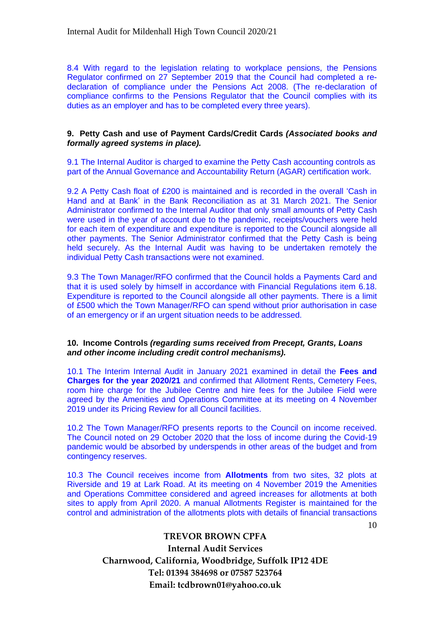8.4 With regard to the legislation relating to workplace pensions, the Pensions Regulator confirmed on 27 September 2019 that the Council had completed a redeclaration of compliance under the Pensions Act 2008. (The re-declaration of compliance confirms to the Pensions Regulator that the Council complies with its duties as an employer and has to be completed every three years).

#### **9. Petty Cash and use of Payment Cards/Credit Cards** *(Associated books and formally agreed systems in place).*

9.1 The Internal Auditor is charged to examine the Petty Cash accounting controls as part of the Annual Governance and Accountability Return (AGAR) certification work.

9.2 A Petty Cash float of £200 is maintained and is recorded in the overall 'Cash in Hand and at Bank' in the Bank Reconciliation as at 31 March 2021. The Senior Administrator confirmed to the Internal Auditor that only small amounts of Petty Cash were used in the year of account due to the pandemic, receipts/vouchers were held for each item of expenditure and expenditure is reported to the Council alongside all other payments. The Senior Administrator confirmed that the Petty Cash is being held securely. As the Internal Audit was having to be undertaken remotely the individual Petty Cash transactions were not examined.

9.3 The Town Manager/RFO confirmed that the Council holds a Payments Card and that it is used solely by himself in accordance with Financial Regulations item 6.18. Expenditure is reported to the Council alongside all other payments. There is a limit of £500 which the Town Manager/RFO can spend without prior authorisation in case of an emergency or if an urgent situation needs to be addressed.

#### **10. Income Controls** *(regarding sums received from Precept, Grants, Loans and other income including credit control mechanisms).*

10.1 The Interim Internal Audit in January 2021 examined in detail the **Fees and Charges for the year 2020/21** and confirmed that Allotment Rents, Cemetery Fees, room hire charge for the Jubilee Centre and hire fees for the Jubilee Field were agreed by the Amenities and Operations Committee at its meeting on 4 November 2019 under its Pricing Review for all Council facilities.

10.2 The Town Manager/RFO presents reports to the Council on income received. The Council noted on 29 October 2020 that the loss of income during the Covid-19 pandemic would be absorbed by underspends in other areas of the budget and from contingency reserves.

10.3 The Council receives income from **Allotments** from two sites, 32 plots at Riverside and 19 at Lark Road. At its meeting on 4 November 2019 the Amenities and Operations Committee considered and agreed increases for allotments at both sites to apply from April 2020. A manual Allotments Register is maintained for the control and administration of the allotments plots with details of financial transactions

10

# **TREVOR BROWN CPFA**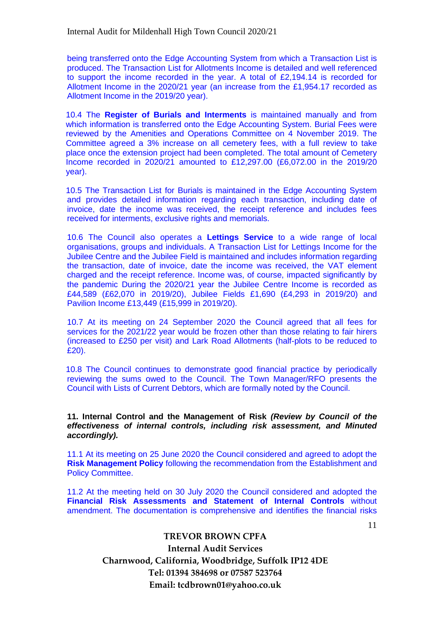being transferred onto the Edge Accounting System from which a Transaction List is produced. The Transaction List for Allotments Income is detailed and well referenced to support the income recorded in the year. A total of £2,194.14 is recorded for Allotment Income in the 2020/21 year (an increase from the £1,954.17 recorded as Allotment Income in the 2019/20 year).

10.4 The **Register of Burials and Interments** is maintained manually and from which information is transferred onto the Edge Accounting System. Burial Fees were reviewed by the Amenities and Operations Committee on 4 November 2019. The Committee agreed a 3% increase on all cemetery fees, with a full review to take place once the extension project had been completed. The total amount of Cemetery Income recorded in 2020/21 amounted to £12,297.00 (£6,072.00 in the 2019/20 year).

10.5 The Transaction List for Burials is maintained in the Edge Accounting System and provides detailed information regarding each transaction, including date of invoice, date the income was received, the receipt reference and includes fees received for interments, exclusive rights and memorials.

10.6 The Council also operates a **Lettings Service** to a wide range of local organisations, groups and individuals. A Transaction List for Lettings Income for the Jubilee Centre and the Jubilee Field is maintained and includes information regarding the transaction, date of invoice, date the income was received, the VAT element charged and the receipt reference. Income was, of course, impacted significantly by the pandemic During the 2020/21 year the Jubilee Centre Income is recorded as £44,589 (£62,070 in 2019/20), Jubilee Fields £1,690 (£4,293 in 2019/20) and Pavilion Income £13,449 (£15,999 in 2019/20).

10.7 At its meeting on 24 September 2020 the Council agreed that all fees for services for the 2021/22 year would be frozen other than those relating to fair hirers (increased to £250 per visit) and Lark Road Allotments (half-plots to be reduced to £20).

10.8 The Council continues to demonstrate good financial practice by periodically reviewing the sums owed to the Council. The Town Manager/RFO presents the Council with Lists of Current Debtors, which are formally noted by the Council.

**11. Internal Control and the Management of Risk** *(Review by Council of the effectiveness of internal controls, including risk assessment, and Minuted accordingly).*

11.1 At its meeting on 25 June 2020 the Council considered and agreed to adopt the **Risk Management Policy** following the recommendation from the Establishment and Policy Committee.

11.2 At the meeting held on 30 July 2020 the Council considered and adopted the **Financial Risk Assessments and Statement of Internal Controls** without amendment. The documentation is comprehensive and identifies the financial risks

## **TREVOR BROWN CPFA**

**Internal Audit Services Charnwood, California, Woodbridge, Suffolk IP12 4DE Tel: 01394 384698 or 07587 523764 Email: tcdbrown01@yahoo.co.uk**

11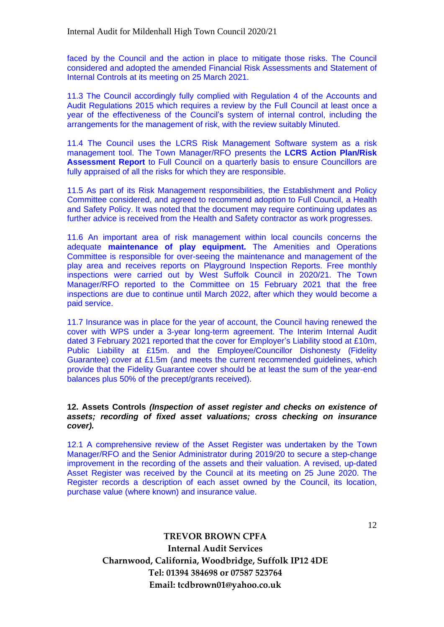faced by the Council and the action in place to mitigate those risks. The Council considered and adopted the amended Financial Risk Assessments and Statement of Internal Controls at its meeting on 25 March 2021.

11.3 The Council accordingly fully complied with Regulation 4 of the Accounts and Audit Regulations 2015 which requires a review by the Full Council at least once a year of the effectiveness of the Council's system of internal control, including the arrangements for the management of risk, with the review suitably Minuted.

11.4 The Council uses the LCRS Risk Management Software system as a risk management tool. The Town Manager/RFO presents the **LCRS Action Plan/Risk Assessment Report** to Full Council on a quarterly basis to ensure Councillors are fully appraised of all the risks for which they are responsible.

11.5 As part of its Risk Management responsibilities, the Establishment and Policy Committee considered, and agreed to recommend adoption to Full Council, a Health and Safety Policy. It was noted that the document may require continuing updates as further advice is received from the Health and Safety contractor as work progresses.

11.6 An important area of risk management within local councils concerns the adequate **maintenance of play equipment.** The Amenities and Operations Committee is responsible for over-seeing the maintenance and management of the play area and receives reports on Playground Inspection Reports. Free monthly inspections were carried out by West Suffolk Council in 2020/21. The Town Manager/RFO reported to the Committee on 15 February 2021 that the free inspections are due to continue until March 2022, after which they would become a paid service.

11.7 Insurance was in place for the year of account, the Council having renewed the cover with WPS under a 3-year long-term agreement. The Interim Internal Audit dated 3 February 2021 reported that the cover for Employer's Liability stood at £10m, Public Liability at £15m. and the Employee/Councillor Dishonesty (Fidelity Guarantee) cover at £1.5m (and meets the current recommended guidelines, which provide that the Fidelity Guarantee cover should be at least the sum of the year-end balances plus 50% of the precept/grants received).

#### **12. Assets Controls** *(Inspection of asset register and checks on existence of assets; recording of fixed asset valuations; cross checking on insurance cover).*

12.1 A comprehensive review of the Asset Register was undertaken by the Town Manager/RFO and the Senior Administrator during 2019/20 to secure a step-change improvement in the recording of the assets and their valuation. A revised, up-dated Asset Register was received by the Council at its meeting on 25 June 2020. The Register records a description of each asset owned by the Council, its location, purchase value (where known) and insurance value.

12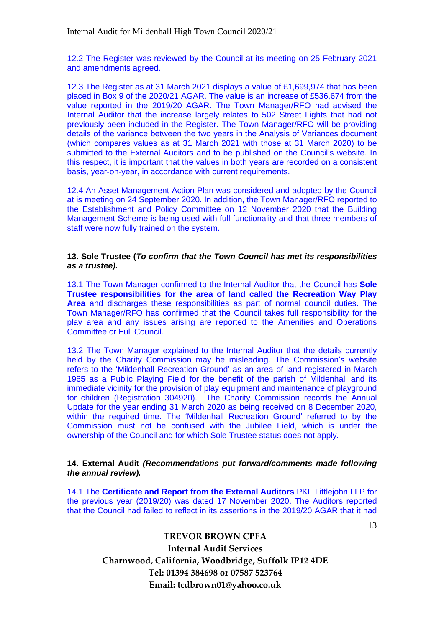12.2 The Register was reviewed by the Council at its meeting on 25 February 2021 and amendments agreed.

12.3 The Register as at 31 March 2021 displays a value of £1,699,974 that has been placed in Box 9 of the 2020/21 AGAR. The value is an increase of £536,674 from the value reported in the 2019/20 AGAR. The Town Manager/RFO had advised the Internal Auditor that the increase largely relates to 502 Street Lights that had not previously been included in the Register. The Town Manager/RFO will be providing details of the variance between the two years in the Analysis of Variances document (which compares values as at 31 March 2021 with those at 31 March 2020) to be submitted to the External Auditors and to be published on the Council's website. In this respect, it is important that the values in both years are recorded on a consistent basis, year-on-year, in accordance with current requirements.

12.4 An Asset Management Action Plan was considered and adopted by the Council at is meeting on 24 September 2020. In addition, the Town Manager/RFO reported to the Establishment and Policy Committee on 12 November 2020 that the Building Management Scheme is being used with full functionality and that three members of staff were now fully trained on the system.

#### **13. Sole Trustee (***To confirm that the Town Council has met its responsibilities as a trustee).*

13.1 The Town Manager confirmed to the Internal Auditor that the Council has **Sole Trustee responsibilities for the area of land called the Recreation Way Play Area** and discharges these responsibilities as part of normal council duties. The Town Manager/RFO has confirmed that the Council takes full responsibility for the play area and any issues arising are reported to the Amenities and Operations Committee or Full Council.

13.2 The Town Manager explained to the Internal Auditor that the details currently held by the Charity Commission may be misleading. The Commission's website refers to the 'Mildenhall Recreation Ground' as an area of land registered in March 1965 as a Public Playing Field for the benefit of the parish of Mildenhall and its immediate vicinity for the provision of play equipment and maintenance of playground for children (Registration 304920). The Charity Commission records the Annual Update for the year ending 31 March 2020 as being received on 8 December 2020, within the required time. The 'Mildenhall Recreation Ground' referred to by the Commission must not be confused with the Jubilee Field, which is under the ownership of the Council and for which Sole Trustee status does not apply.

#### **14. External Audit** *(Recommendations put forward/comments made following the annual review).*

14.1 The **Certificate and Report from the External Auditors** PKF Littlejohn LLP for the previous year (2019/20) was dated 17 November 2020. The Auditors reported that the Council had failed to reflect in its assertions in the 2019/20 AGAR that it had

13